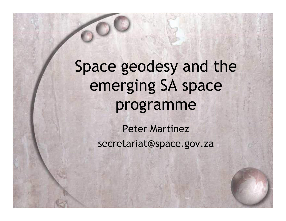Space geodesy and the emerging SA space programme

> Peter Martinezsecretariat@space.gov.za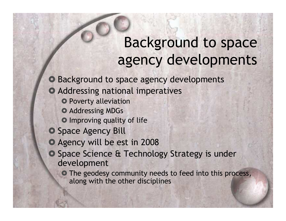### Background to space agency developments

- Background to space agency developments
- Addressing national imperatives
	- **O** Poverty alleviation
	- **O** Addressing MDGs
	- **O** Improving quality of life
- O Space Agency Bill
- O Agency will be est in 2008
- Space Science & Technology Strategy is under<br>development development
	- The geodesy community needs to feed into this process,<br>along with the other disciplines along with the other disciplines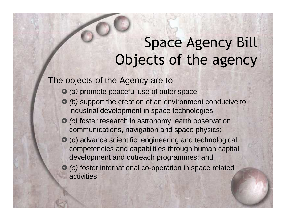# Space Agency BillObjects of the agency

The objects of the Agency are to-

- (a) promote peaceful use of outer space;
- (b) support the creation of an environment conducive to<br>industrial development in space tochoologies: industrial development in space technologies;
- C (c) foster research in astronomy, earth observation,<br>communications, navigation and space physics: communications, navigation and space physics;
- (d) advance scientific, engineering and technological competencies and capabilities through human capitaldevelopment and outreach programmes; and
- (e) foster international co-operation in space related activities.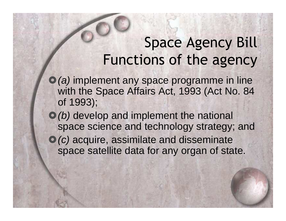## Space Agency BillFunctions of the agency

- $\bullet$  (a) implement any space programme in line with the Space Affairs Act, 1993 (Act No. 84 of 1993);
- $\bullet$  (b) develop and implement the national space science and technology strategy; and
- $\bullet$  (c) acquire, assimilate and disseminate space satellite data for any organ of state.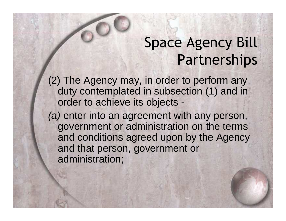# Space Agency BillPartnerships

(2) The Agency may, in order to perform any duty contemplated in subsection (1) and in order to achieve its objects -

(a) enter into an agreement with any person, government or administration on the terms and conditions agreed upon by the Agency and that person, government or administration;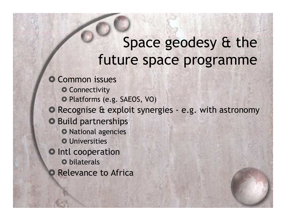### Space geodesy & the future space programme

O Common issues

- O Connectivity
- Platforms (e.g. SAEOS, VO)
- Recognise & exploit synergies e.g. with astronomy
- O Build partnerships
	- **O** National agencies
	- **O** Universities
- **O** Intl cooperation
	- **O** bilaterals
- $\bullet$ Relevance to Africa